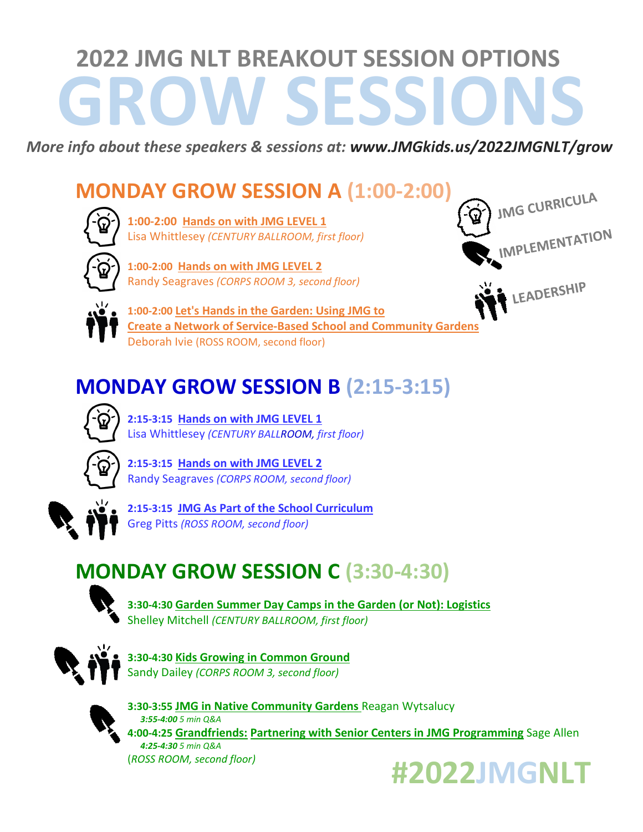# **GROW SESSIONS 2022 JMG NLT BREAKOUT SESSION OPTIONS**

*More info about these speakers & sessions at: www.JMGkids.us/2022JMGNLT/grow*

### **MONDAY GROW SESSION A (1:00-2:00)**



**1:00-2:00 Hands on with JMG LEVEL 1** Lisa Whittlesey *(CENTURY BALLROOM, first floor)*



**1:00-2:00 Hands on with JMG LEVEL 2** Randy Seagraves *(CORPS ROOM 3, second floor)*



**1:00-2:00 Let's Hands in the Garden: Using JMG to Create a Network of Service-Based School and Community Gardens**  Deborah Ivie (ROSS ROOM, second floor)

### **MONDAY GROW SESSION B (2:15-3:15)**



**2:15-3:15 Hands on with JMG LEVEL 1** Lisa Whittlesey *(CENTURY BALLROOM, first floor)*



**2:15-3:15 Hands on with JMG LEVEL 2** Randy Seagraves *(CORPS ROOM, second floor)*



**2:15-3:15 JMG As Part of the School Curriculum** Greg Pitts *(ROSS ROOM, second floor)*

## **MONDAY GROW SESSION C (3:30-4:30)**



**3:30-4:30 Garden Summer Day Camps in the Garden (or Not): Logistics** Shelley Mitchell *(CENTURY BALLROOM, first floor)*



**3:30-4:30 Kids Growing in Common Ground** Sandy Dailey *(CORPS ROOM 3, second floor)*



**3:30-3:55 JMG in Native Community Gardens** Reagan Wytsalucy*3:55-4:00 5 min Q&A* **4:00-4:25 Grandfriends: Partnering with Senior Centers in JMG Programming** Sage Allen *4:25-4:30 5 min Q&A* (*ROSS ROOM, second floor)*



**JMG CURRICULA** 

LEADERSHIP

**IMPLEMENTATION**